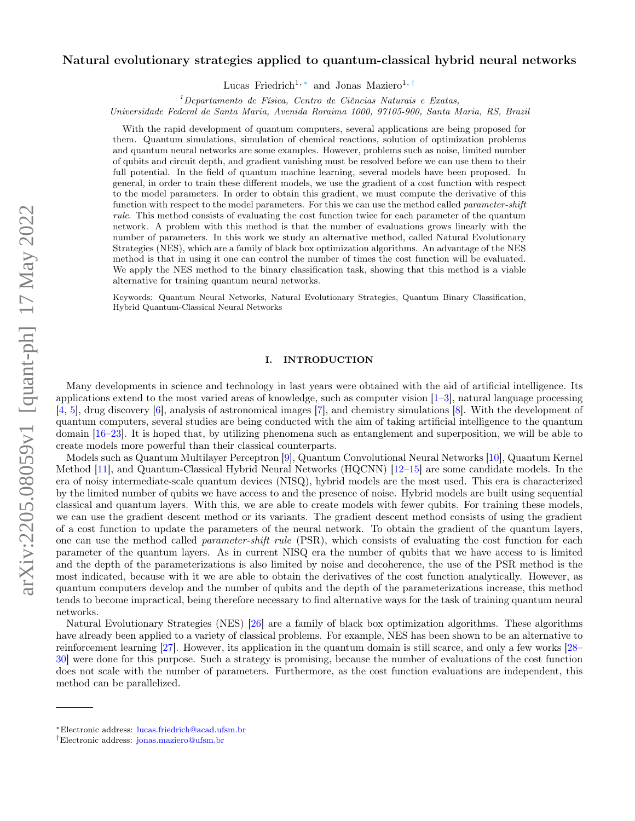# Natural evolutionary strategies applied to quantum-classical hybrid neural networks

Lucas Friedrich<sup>1, [∗](#page-0-0)</sup> and Jonas Maziero<sup>1, [†](#page-0-1)</sup>

 $1$ Departamento de Física, Centro de Ciências Naturais e Exatas,

Universidade Federal de Santa Maria, Avenida Roraima 1000, 97105-900, Santa Maria, RS, Brazil

With the rapid development of quantum computers, several applications are being proposed for them. Quantum simulations, simulation of chemical reactions, solution of optimization problems and quantum neural networks are some examples. However, problems such as noise, limited number of qubits and circuit depth, and gradient vanishing must be resolved before we can use them to their full potential. In the field of quantum machine learning, several models have been proposed. In general, in order to train these different models, we use the gradient of a cost function with respect to the model parameters. In order to obtain this gradient, we must compute the derivative of this function with respect to the model parameters. For this we can use the method called *parameter-shift* rule. This method consists of evaluating the cost function twice for each parameter of the quantum network. A problem with this method is that the number of evaluations grows linearly with the number of parameters. In this work we study an alternative method, called Natural Evolutionary Strategies (NES), which are a family of black box optimization algorithms. An advantage of the NES method is that in using it one can control the number of times the cost function will be evaluated. We apply the NES method to the binary classification task, showing that this method is a viable alternative for training quantum neural networks.

Keywords: Quantum Neural Networks, Natural Evolutionary Strategies, Quantum Binary Classification, Hybrid Quantum-Classical Neural Networks

# I. INTRODUCTION

Many developments in science and technology in last years were obtained with the aid of artificial intelligence. Its applications extend to the most varied areas of knowledge, such as computer vision [\[1–](#page-11-0)[3\]](#page-11-1), natural language processing [\[4,](#page-11-2) [5\]](#page-11-3), drug discovery [\[6\]](#page-11-4), analysis of astronomical images [\[7\]](#page-11-5), and chemistry simulations [\[8\]](#page-11-6). With the development of quantum computers, several studies are being conducted with the aim of taking artificial intelligence to the quantum domain [\[16–](#page-11-7)[23\]](#page-12-0). It is hoped that, by utilizing phenomena such as entanglement and superposition, we will be able to create models more powerful than their classical counterparts.

Models such as Quantum Multilayer Perceptron [\[9\]](#page-11-8), Quantum Convolutional Neural Networks [\[10\]](#page-11-9), Quantum Kernel Method [\[11\]](#page-11-10), and Quantum-Classical Hybrid Neural Networks (HQCNN) [\[12–](#page-11-11)[15\]](#page-11-12) are some candidate models. In the era of noisy intermediate-scale quantum devices (NISQ), hybrid models are the most used. This era is characterized by the limited number of qubits we have access to and the presence of noise. Hybrid models are built using sequential classical and quantum layers. With this, we are able to create models with fewer qubits. For training these models, we can use the gradient descent method or its variants. The gradient descent method consists of using the gradient of a cost function to update the parameters of the neural network. To obtain the gradient of the quantum layers, one can use the method called *parameter-shift rule* (PSR), which consists of evaluating the cost function for each parameter of the quantum layers. As in current NISQ era the number of qubits that we have access to is limited and the depth of the parameterizations is also limited by noise and decoherence, the use of the PSR method is the most indicated, because with it we are able to obtain the derivatives of the cost function analytically. However, as quantum computers develop and the number of qubits and the depth of the parameterizations increase, this method tends to become impractical, being therefore necessary to find alternative ways for the task of training quantum neural networks.

Natural Evolutionary Strategies (NES) [\[26\]](#page-12-1) are a family of black box optimization algorithms. These algorithms have already been applied to a variety of classical problems. For example, NES has been shown to be an alternative to reinforcement learning [\[27\]](#page-12-2). However, its application in the quantum domain is still scarce, and only a few works [\[28–](#page-12-3) [30\]](#page-12-4) were done for this purpose. Such a strategy is promising, because the number of evaluations of the cost function does not scale with the number of parameters. Furthermore, as the cost function evaluations are independent, this method can be parallelized.

<span id="page-0-0"></span><sup>∗</sup>Electronic address: [lucas.friedrich@acad.ufsm.br](mailto:lucas.friedrich@acad.ufsm.br)

<span id="page-0-1"></span><sup>†</sup>Electronic address: [jonas.maziero@ufsm.br](mailto:jonas.maziero@ufsm.br)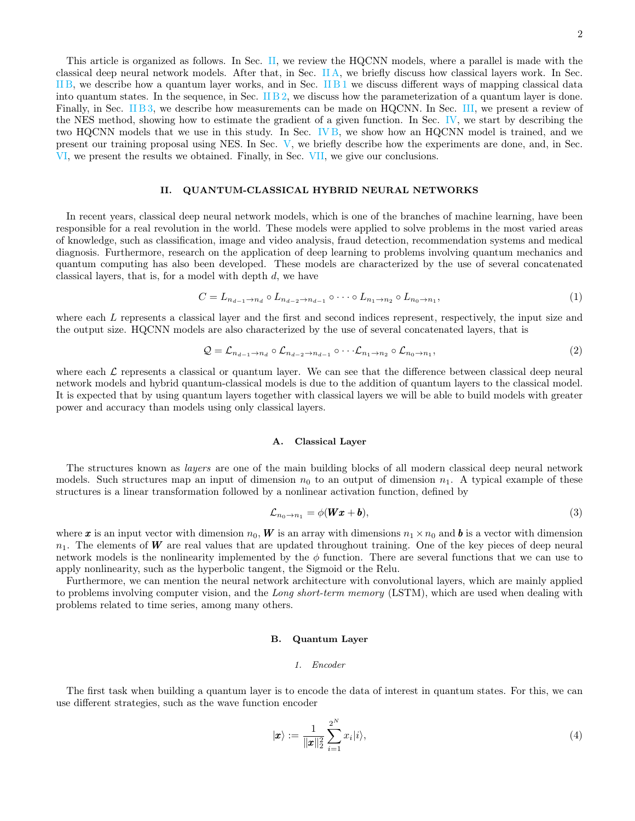#### <span id="page-1-0"></span>II. QUANTUM-CLASSICAL HYBRID NEURAL NETWORKS

[VI,](#page-8-0) we present the results we obtained. Finally, in Sec. [VII,](#page-10-0) we give our conclusions.

In recent years, classical deep neural network models, which is one of the branches of machine learning, have been responsible for a real revolution in the world. These models were applied to solve problems in the most varied areas of knowledge, such as classification, image and video analysis, fraud detection, recommendation systems and medical diagnosis. Furthermore, research on the application of deep learning to problems involving quantum mechanics and quantum computing has also been developed. These models are characterized by the use of several concatenated classical layers, that is, for a model with depth d, we have

$$
C = L_{n_{d-1} \to n_d} \circ L_{n_{d-2} \to n_{d-1}} \circ \cdots \circ L_{n_1 \to n_2} \circ L_{n_0 \to n_1},
$$
\n
$$
\tag{1}
$$

where each L represents a classical layer and the first and second indices represent, respectively, the input size and the output size. HQCNN models are also characterized by the use of several concatenated layers, that is

$$
Q = \mathcal{L}_{n_{d-1} \to n_d} \circ \mathcal{L}_{n_{d-2} \to n_{d-1}} \circ \cdots \mathcal{L}_{n_1 \to n_2} \circ \mathcal{L}_{n_0 \to n_1},
$$
\n
$$
(2)
$$

where each  $\mathcal L$  represents a classical or quantum layer. We can see that the difference between classical deep neural network models and hybrid quantum-classical models is due to the addition of quantum layers to the classical model. It is expected that by using quantum layers together with classical layers we will be able to build models with greater power and accuracy than models using only classical layers.

#### <span id="page-1-1"></span>A. Classical Layer

The structures known as layers are one of the main building blocks of all modern classical deep neural network models. Such structures map an input of dimension  $n_0$  to an output of dimension  $n_1$ . A typical example of these structures is a linear transformation followed by a nonlinear activation function, defined by

<span id="page-1-4"></span>
$$
\mathcal{L}_{n_0 \to n_1} = \phi(\mathbf{Wx} + \mathbf{b}),\tag{3}
$$

where x is an input vector with dimension  $n_0$ , W is an array with dimensions  $n_1 \times n_0$  and b is a vector with dimension  $n_1$ . The elements of W are real values that are updated throughout training. One of the key pieces of deep neural network models is the nonlinearity implemented by the  $\phi$  function. There are several functions that we can use to apply nonlinearity, such as the hyperbolic tangent, the Sigmoid or the Relu.

Furthermore, we can mention the neural network architecture with convolutional layers, which are mainly applied to problems involving computer vision, and the Long short-term memory (LSTM), which are used when dealing with problems related to time series, among many others.

## <span id="page-1-2"></span>B. Quantum Layer

## <span id="page-1-3"></span>1. Encoder

The first task when building a quantum layer is to encode the data of interest in quantum states. For this, we can use different strategies, such as the wave function encoder

$$
|\boldsymbol{x}\rangle := \frac{1}{\|\boldsymbol{x}\|_2^2} \sum_{i=1}^{2^N} x_i |i\rangle,
$$
\n(4)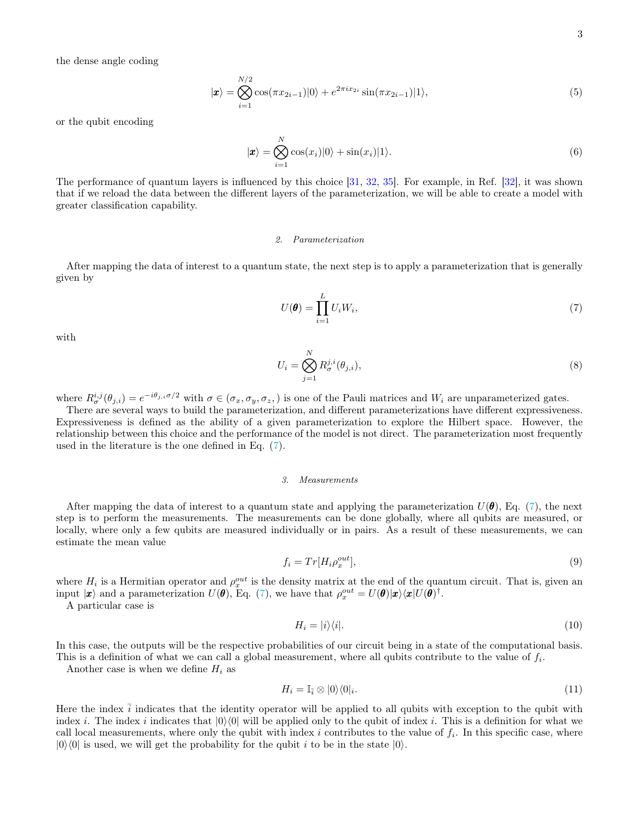the dense angle coding

$$
|\mathbf{x}\rangle = \bigotimes_{i=1}^{N/2} \cos(\pi x_{2i-1})|0\rangle + e^{2\pi i x_{2i}} \sin(\pi x_{2i-1})|1\rangle,
$$
\n(5)

or the qubit encoding

$$
|\boldsymbol{x}\rangle = \bigotimes_{i=1}^{N} \cos(x_i)|0\rangle + \sin(x_i)|1\rangle.
$$
 (6)

The performance of quantum layers is influenced by this choice [\[31,](#page-12-5) [32,](#page-12-6) [35\]](#page-12-7). For example, in Ref. [\[32\]](#page-12-6), it was shown that if we reload the data between the different layers of the parameterization, we will be able to create a model with greater classification capability.

#### <span id="page-2-0"></span>2. Parameterization

After mapping the data of interest to a quantum state, the next step is to apply a parameterization that is generally given by

<span id="page-2-2"></span>
$$
U(\boldsymbol{\theta}) = \prod_{i=1}^{L} U_i W_i, \tag{7}
$$

with

$$
U_i = \bigotimes_{j=1}^{N} R_{\sigma}^{j,i}(\theta_{j,i}),\tag{8}
$$

where  $R_{\sigma}^{i,j}(\theta_{j,i}) = e^{-i\theta_{j,i}\sigma/2}$  with  $\sigma \in (\sigma_x, \sigma_y, \sigma_z)$  is one of the Pauli matrices and  $W_i$  are unparameterized gates.

There are several ways to build the parameterization, and different parameterizations have different expressiveness. Expressiveness is defined as the ability of a given parameterization to explore the Hilbert space. However, the relationship between this choice and the performance of the model is not direct. The parameterization most frequently used in the literature is the one defined in Eq. [\(7\)](#page-2-2).

### <span id="page-2-1"></span>3. Measurements

After mapping the data of interest to a quantum state and applying the parameterization  $U(\theta)$ , Eq. [\(7\)](#page-2-2), the next step is to perform the measurements. The measurements can be done globally, where all qubits are measured, or locally, where only a few qubits are measured individually or in pairs. As a result of these measurements, we can estimate the mean value

<span id="page-2-3"></span>
$$
f_i = Tr[H_i \rho_x^{out}], \tag{9}
$$

where  $H_i$  is a Hermitian operator and  $\rho_x^{out}$  is the density matrix at the end of the quantum circuit. That is, given an input  $|\mathbf{x}\rangle$  and a parameterization  $U(\theta)$ , Eq. [\(7\)](#page-2-2), we have that  $\rho_x^{out} = U(\theta)|\mathbf{x}\rangle\langle\mathbf{x}|U(\theta)^{\dagger}$ .

A particular case is

$$
H_i = |i\rangle\langle i|.\tag{10}
$$

In this case, the outputs will be the respective probabilities of our circuit being in a state of the computational basis. This is a definition of what we can call a global measurement, where all qubits contribute to the value of  $f_i$ .

Another case is when we define  $H_i$  as

<span id="page-2-4"></span>
$$
H_i = \mathbb{I}_{\bar{i}} \otimes |0\rangle\langle 0|_i. \tag{11}
$$

Here the index  $\bar{i}$  indicates that the identity operator will be applied to all qubits with exception to the qubit with index i. The index i indicates that  $|0\rangle\langle 0|$  will be applied only to the qubit of index i. This is a definition for what we call local measurements, where only the qubit with index  $i$  contributes to the value of  $f_i$ . In this specific case, where  $|0\rangle\langle 0|$  is used, we will get the probability for the qubit i to be in the state  $|0\rangle$ .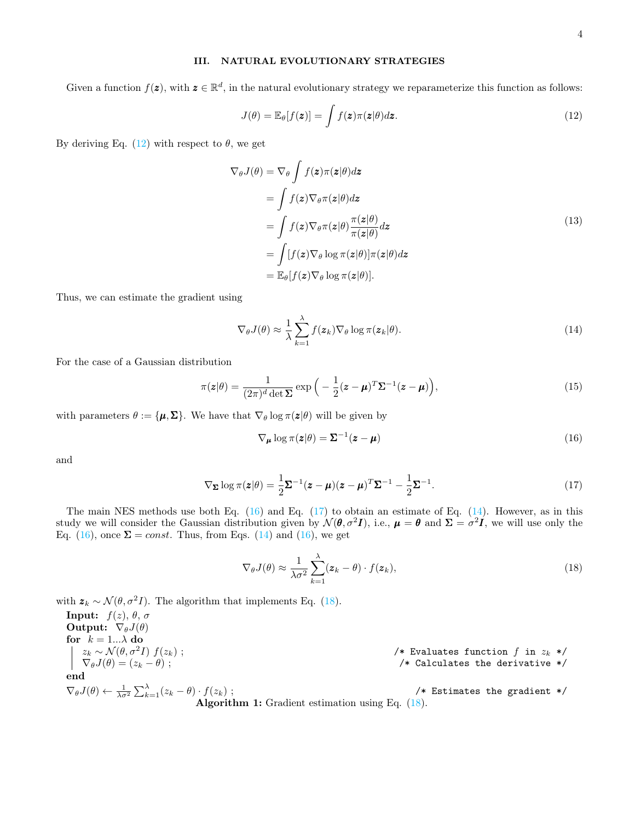## <span id="page-3-0"></span>III. NATURAL EVOLUTIONARY STRATEGIES

Given a function  $f(z)$ , with  $z \in \mathbb{R}^d$ , in the natural evolutionary strategy we reparameterize this function as follows:

<span id="page-3-1"></span>
$$
J(\theta) = \mathbb{E}_{\theta}[f(\boldsymbol{z})] = \int f(\boldsymbol{z})\pi(\boldsymbol{z}|\theta)d\boldsymbol{z}.
$$
 (12)

By deriving Eq.  $(12)$  with respect to  $\theta$ , we get

$$
\nabla_{\theta}J(\theta) = \nabla_{\theta} \int f(z)\pi(z|\theta)dz
$$
  
\n
$$
= \int f(z)\nabla_{\theta}\pi(z|\theta)dz
$$
  
\n
$$
= \int f(z)\nabla_{\theta}\pi(z|\theta)\frac{\pi(z|\theta)}{\pi(z|\theta)}dz
$$
  
\n
$$
= \int [f(z)\nabla_{\theta}\log\pi(z|\theta)]\pi(z|\theta)dz
$$
  
\n
$$
= \mathbb{E}_{\theta}[f(z)\nabla_{\theta}\log\pi(z|\theta)].
$$
\n(13)

Thus, we can estimate the gradient using

<span id="page-3-4"></span>
$$
\nabla_{\theta} J(\theta) \approx \frac{1}{\lambda} \sum_{k=1}^{\lambda} f(\boldsymbol{z}_k) \nabla_{\theta} \log \pi(\boldsymbol{z}_k | \theta).
$$
 (14)

For the case of a Gaussian distribution

$$
\pi(\mathbf{z}|\theta) = \frac{1}{(2\pi)^d \det \mathbf{\Sigma}} \exp\left(-\frac{1}{2}(\mathbf{z} - \boldsymbol{\mu})^T \mathbf{\Sigma}^{-1}(\mathbf{z} - \boldsymbol{\mu})\right),\tag{15}
$$

with parameters  $\theta := {\mu, \Sigma}$ . We have that  $\nabla_{\theta} \log \pi(z|\theta)$  will be given by

<span id="page-3-2"></span>
$$
\nabla_{\mu} \log \pi(z|\theta) = \Sigma^{-1}(z - \mu)
$$
\n(16)

and

<span id="page-3-3"></span>
$$
\nabla_{\Sigma} \log \pi(\mathbf{z}|\theta) = \frac{1}{2} \Sigma^{-1} (\mathbf{z} - \boldsymbol{\mu}) (\mathbf{z} - \boldsymbol{\mu})^T \Sigma^{-1} - \frac{1}{2} \Sigma^{-1}.
$$
 (17)

The main NES methods use both Eq.  $(16)$  and Eq.  $(17)$  to obtain an estimate of Eq.  $(14)$ . However, as in this study we will consider the Gaussian distribution given by  $\mathcal{N}(\theta, \sigma^2 I)$ , i.e.,  $\mu = \theta$  and  $\Sigma = \sigma^2 I$ , we will use only the Eq. [\(16\)](#page-3-2), once  $\Sigma = const.$  Thus, from Eqs. [\(14\)](#page-3-4) and (16), we get

<span id="page-3-5"></span>
$$
\nabla_{\theta} J(\theta) \approx \frac{1}{\lambda \sigma^2} \sum_{k=1}^{\lambda} (\mathbf{z}_k - \theta) \cdot f(\mathbf{z}_k), \qquad (18)
$$

with  $z_k \sim \mathcal{N}(\theta, \sigma^2 I)$ . The algorithm that implements Eq. [\(18\)](#page-3-5).

<span id="page-3-6"></span>**Input:**  $f(z)$ ,  $\theta$ ,  $\sigma$ Output:  $\nabla_{\theta}J(\theta)$ for  $k = 1...\lambda$  do  $\left| \begin{array}{c} z_k \sim \mathcal{N}(\theta, \sigma^2 I) \ f(z_k) \ ; \\ \nabla_\theta J(\theta) = (z_k - \theta) \ ; \end{array} \right.$ /\* Evaluates function  $f$  in  $z_k$  \*/  $/*$  Calculates the derivative  $*/$ end  $\nabla_{\theta} J(\theta) \leftarrow \frac{1}{\lambda \sigma^2} \sum_{k=1}^{\lambda} (z_k - \theta) \cdot f(z_k);$  /\* Estimates the gradient \*/

Algorithm 1: Gradient estimation using Eq.  $(18)$ .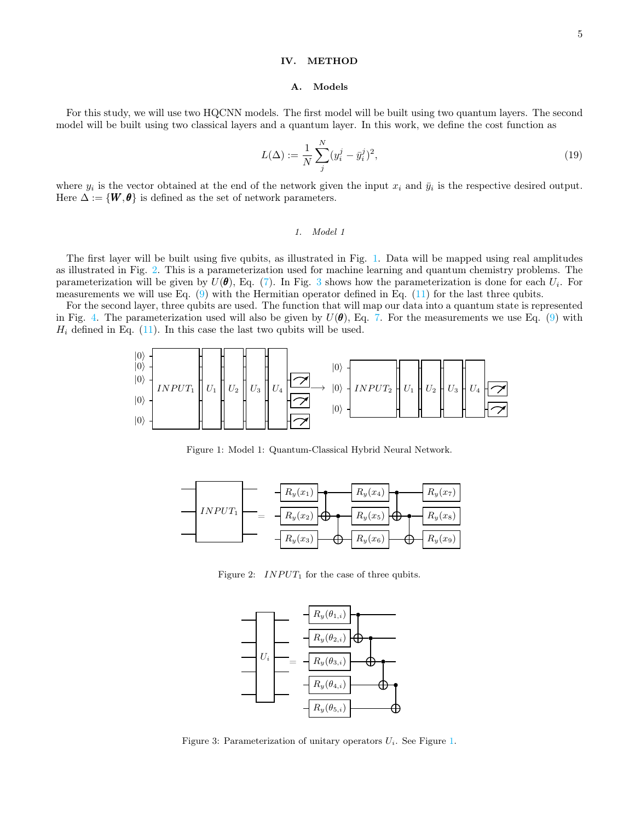## <span id="page-4-0"></span>IV. METHOD

#### A. Models

For this study, we will use two HQCNN models. The first model will be built using two quantum layers. The second model will be built using two classical layers and a quantum layer. In this work, we define the cost function as

<span id="page-4-4"></span>
$$
L(\Delta) := \frac{1}{N} \sum_{j}^{N} (y_i^j - \bar{y}_i^j)^2,
$$
\n(19)

where  $y_i$  is the vector obtained at the end of the network given the input  $x_i$  and  $\bar{y}_i$  is the respective desired output. Here  $\Delta := \{W, \theta\}$  is defined as the set of network parameters.

#### 1. Model 1

The first layer will be built using five qubits, as illustrated in Fig. [1.](#page-4-1) Data will be mapped using real amplitudes as illustrated in Fig. [2.](#page-4-2) This is a parameterization used for machine learning and quantum chemistry problems. The parameterization will be given by  $U(\theta)$ , Eq. [\(7\)](#page-2-2). In Fig. [3](#page-4-3) shows how the parameterization is done for each  $U_i$ . For measurements we will use Eq.  $(9)$  with the Hermitian operator defined in Eq.  $(11)$  for the last three qubits.

For the second layer, three qubits are used. The function that will map our data into a quantum state is represented in Fig. [4.](#page-5-0) The parameterization used will also be given by  $U(\theta)$ , Eq. [7.](#page-2-2) For the measurements we use Eq. [\(9\)](#page-2-3) with  $H_i$  defined in Eq. [\(11\)](#page-2-4). In this case the last two qubits will be used.

$$
\begin{bmatrix} |0\rangle \\ |0\rangle \\ |0\rangle \\ |0\rangle \end{bmatrix} \text{INPUT}_1 \begin{bmatrix} 1 & 0 & 0 \\ & U_1 & 0 & 0 \\ & & U_2 & 0 \\ & & & U_3 & 0 \\ & & & & |0\rangle \end{bmatrix} \text{U}_4 \begin{bmatrix} |0\rangle \\ |0\rangle \\ |0\rangle \\ |0\rangle \end{bmatrix} \text{INPUT}_2 \begin{bmatrix} |0\rangle \\ |0\rangle \\ |0\rangle \\ |0\rangle \end{bmatrix} \text{U}_1 \begin{bmatrix} 1 & 0 & 0 \\ & U_2 & 0 & 0 \\ & & & |0\rangle \\ & & & & |0\rangle \end{bmatrix} \text{U}_2 \begin{bmatrix} 1 & 0 & 0 & 0 \\ & & & & |0\rangle \\ & & & & |0\rangle \\ & & & & |0\rangle \end{bmatrix}
$$

<span id="page-4-1"></span>Figure 1: Model 1: Quantum-Classical Hybrid Neural Network.



Figure 2:  $INPUT_1$  for the case of three qubits.

<span id="page-4-2"></span>

<span id="page-4-3"></span>Figure 3: Parameterization of unitary operators  $U_i$ . See Figure [1.](#page-4-1)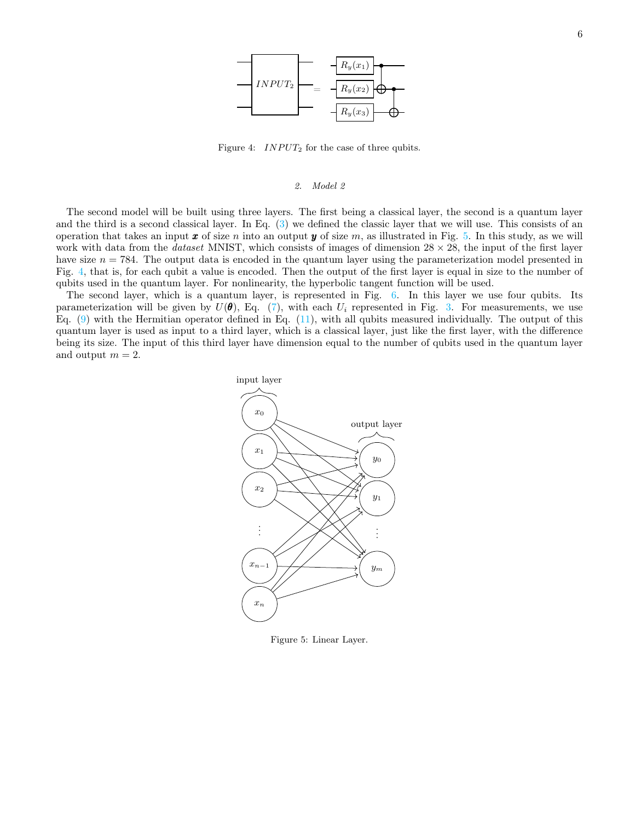

<span id="page-5-0"></span>Figure 4:  $INPUT_2$  for the case of three qubits.

#### 2. Model 2

The second model will be built using three layers. The first being a classical layer, the second is a quantum layer and the third is a second classical layer. In Eq. [\(3\)](#page-1-4) we defined the classic layer that we will use. This consists of an operation that takes an input  $x$  of size n into an output  $y$  of size m, as illustrated in Fig. [5.](#page-5-1) In this study, as we will work with data from the *dataset* MNIST, which consists of images of dimension  $28 \times 28$ , the input of the first layer have size  $n = 784$ . The output data is encoded in the quantum layer using the parameterization model presented in Fig. [4,](#page-5-0) that is, for each qubit a value is encoded. Then the output of the first layer is equal in size to the number of qubits used in the quantum layer. For nonlinearity, the hyperbolic tangent function will be used.

The second layer, which is a quantum layer, is represented in Fig. [6.](#page-6-1) In this layer we use four qubits. Its parameterization will be given by  $U(\theta)$ , Eq. [\(7\)](#page-2-2), with each  $U_i$  represented in Fig. [3.](#page-4-3) For measurements, we use Eq.  $(9)$  with the Hermitian operator defined in Eq.  $(11)$ , with all qubits measured individually. The output of this quantum layer is used as input to a third layer, which is a classical layer, just like the first layer, with the difference being its size. The input of this third layer have dimension equal to the number of qubits used in the quantum layer and output  $m = 2$ .



<span id="page-5-1"></span>Figure 5: Linear Layer.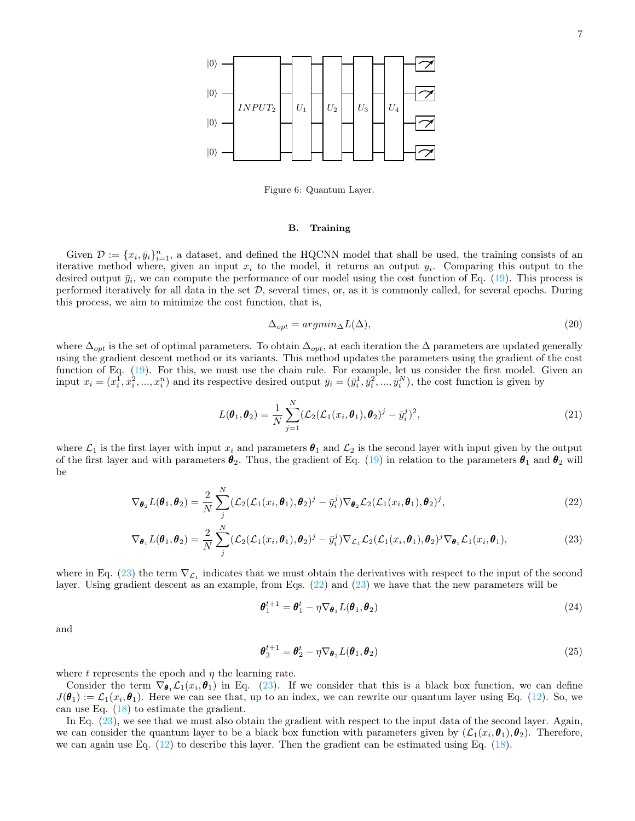

<span id="page-6-1"></span>Figure 6: Quantum Layer.

## <span id="page-6-0"></span>B. Training

Given  $\mathcal{D} := \{x_i, \bar{y}_i\}_{i=1}^n$ , a dataset, and defined the HQCNN model that shall be used, the training consists of an iterative method where, given an input  $x_i$  to the model, it returns an output  $y_i$ . Comparing this output to the desired output  $\bar{y}_i$ , we can compute the performance of our model using the cost function of Eq. [\(19\)](#page-4-4). This process is performed iteratively for all data in the set  $D$ , several times, or, as it is commonly called, for several epochs. During this process, we aim to minimize the cost function, that is,

$$
\Delta_{opt} = argmin_{\Delta} L(\Delta),\tag{20}
$$

where  $\Delta_{opt}$  is the set of optimal parameters. To obtain  $\Delta_{opt}$ , at each iteration the  $\Delta$  parameters are updated generally using the gradient descent method or its variants. This method updates the parameters using the gradient of the cost function of Eq. [\(19\)](#page-4-4). For this, we must use the chain rule. For example, let us consider the first model. Given an input  $x_i = (x_i^1, x_i^2, ..., x_i^n)$  and its respective desired output  $\bar{y}_i = (\bar{y}_i^1, \bar{y}_i^2, ..., \bar{y}_i^N)$ , the cost function is given by

$$
L(\boldsymbol{\theta}_1, \boldsymbol{\theta}_2) = \frac{1}{N} \sum_{j=1}^N (\mathcal{L}_2(\mathcal{L}_1(x_i, \boldsymbol{\theta}_1), \boldsymbol{\theta}_2)^j - \bar{y}_i^j)^2,
$$
\n(21)

where  $\mathcal{L}_1$  is the first layer with input  $x_i$  and parameters  $\theta_1$  and  $\mathcal{L}_2$  is the second layer with input given by the output of the first layer and with parameters  $\theta_2$ . Thus, the gradient of Eq. [\(19\)](#page-4-4) in relation to the parameters  $\theta_1$  and  $\theta_2$  will be

$$
\nabla_{\boldsymbol{\theta}_2} L(\boldsymbol{\theta}_1, \boldsymbol{\theta}_2) = \frac{2}{N} \sum_{j}^{N} (\mathcal{L}_2(\mathcal{L}_1(x_i, \boldsymbol{\theta}_1), \boldsymbol{\theta}_2)^j - \bar{y}_i^j) \nabla_{\boldsymbol{\theta}_2} \mathcal{L}_2(\mathcal{L}_1(x_i, \boldsymbol{\theta}_1), \boldsymbol{\theta}_2)^j,
$$
(22)

$$
\nabla_{\boldsymbol{\theta}_1} L(\boldsymbol{\theta}_1, \boldsymbol{\theta}_2) = \frac{2}{N} \sum_{j}^{N} (\mathcal{L}_2(\mathcal{L}_1(x_i, \boldsymbol{\theta}_1), \boldsymbol{\theta}_2)^j - \bar{y}_i^j) \nabla_{\mathcal{L}_1} \mathcal{L}_2(\mathcal{L}_1(x_i, \boldsymbol{\theta}_1), \boldsymbol{\theta}_2)^j \nabla_{\boldsymbol{\theta}_1} \mathcal{L}_1(x_i, \boldsymbol{\theta}_1),
$$
\n(23)

where in Eq. [\(23\)](#page-6-2) the term  $\nabla_{\mathcal{L}_1}$  indicates that we must obtain the derivatives with respect to the input of the second layer. Using gradient descent as an example, from Eqs. [\(22\)](#page-6-3) and [\(23\)](#page-6-2) we have that the new parameters will be

<span id="page-6-3"></span><span id="page-6-2"></span>
$$
\boldsymbol{\theta}_1^{t+1} = \boldsymbol{\theta}_1^t - \eta \nabla_{\boldsymbol{\theta}_1} L(\boldsymbol{\theta}_1, \boldsymbol{\theta}_2)
$$
\n(24)

and

$$
\boldsymbol{\theta}_2^{t+1} = \boldsymbol{\theta}_2^t - \eta \nabla_{\boldsymbol{\theta}_2} L(\boldsymbol{\theta}_1, \boldsymbol{\theta}_2)
$$
\n(25)

where t represents the epoch and  $\eta$  the learning rate.

Consider the term  $\nabla_{\theta_1} \mathcal{L}_1(x_i, \theta_1)$  in Eq. [\(23\)](#page-6-2). If we consider that this is a black box function, we can define  $J(\theta_1) := \mathcal{L}_1(x_i, \theta_1)$ . Here we can see that, up to an index, we can rewrite our quantum layer using Eq. [\(12\)](#page-3-1). So, we can use Eq.  $(18)$  to estimate the gradient.

In Eq.  $(23)$ , we see that we must also obtain the gradient with respect to the input data of the second layer. Again, we can consider the quantum layer to be a black box function with parameters given by  $(\mathcal{L}_1(x_i,\theta_1),\theta_2)$ . Therefore, we can again use Eq. [\(12\)](#page-3-1) to describe this layer. Then the gradient can be estimated using Eq. [\(18\)](#page-3-5).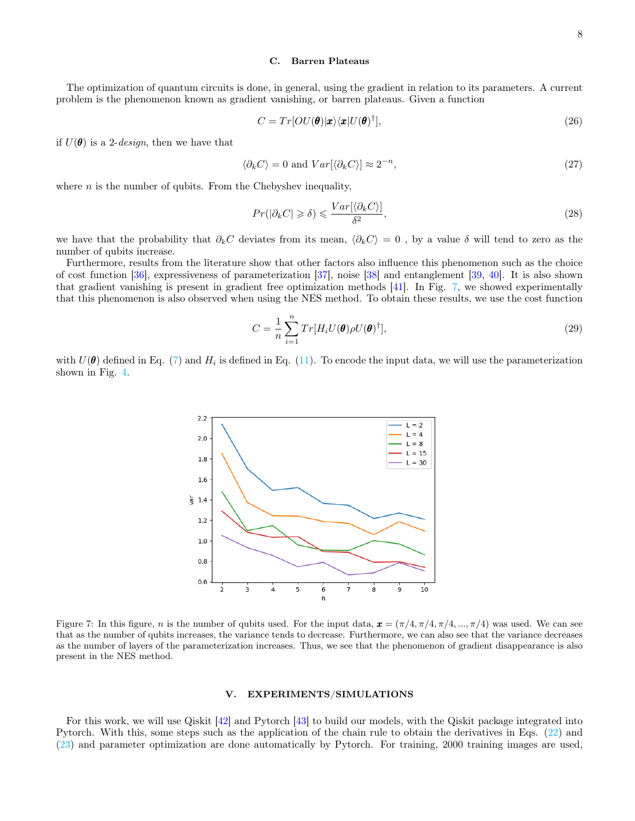## C. Barren Plateaus

The optimization of quantum circuits is done, in general, using the gradient in relation to its parameters. A current problem is the phenomenon known as gradient vanishing, or barren plateaus. Given a function

$$
C = Tr[OU(\boldsymbol{\theta})|\mathbf{x}\rangle\langle\mathbf{x}|U(\boldsymbol{\theta})^{\dagger}], \qquad (26)
$$

if  $U(\theta)$  is a 2-*design*, then we have that

$$
\langle \partial_k C \rangle = 0 \text{ and } Var[\langle \partial_k C \rangle] \approx 2^{-n}, \tag{27}
$$

where  $n$  is the number of qubits. From the Chebyshev inequality,

$$
Pr(|\partial_k C| \ge \delta) \le \frac{Var[\langle \partial_k C \rangle]}{\delta^2},\tag{28}
$$

we have that the probability that  $\partial_k C$  deviates from its mean,  $\langle \partial_k C \rangle = 0$ , by a value  $\delta$  will tend to zero as the number of qubits increase.

Furthermore, results from the literature show that other factors also influence this phenomenon such as the choice of cost function [\[36\]](#page-12-8), expressiveness of parameterization [\[37\]](#page-12-9), noise [\[38\]](#page-12-10) and entanglement [\[39,](#page-12-11) [40\]](#page-12-12). It is also shown that gradient vanishing is present in gradient free optimization methods [\[41\]](#page-12-13). In Fig. [7,](#page-7-1) we showed experimentally that this phenomenon is also observed when using the NES method. To obtain these results, we use the cost function

$$
C = \frac{1}{n} \sum_{i=1}^{n} Tr[H_i U(\boldsymbol{\theta}) \rho U(\boldsymbol{\theta})^{\dagger}],
$$
\n(29)

with  $U(\theta)$  defined in Eq. [\(7\)](#page-2-2) and  $H_i$  is defined in Eq. [\(11\)](#page-2-4). To encode the input data, we will use the parameterization shown in Fig. [4.](#page-5-0)



<span id="page-7-1"></span>Figure 7: In this figure, n is the number of qubits used. For the input data,  $\mathbf{x} = (\pi/4, \pi/4, \pi/4, \dots, \pi/4)$  was used. We can see that as the number of qubits increases, the variance tends to decrease. Furthermore, we can also see that the variance decreases as the number of layers of the parameterization increases. Thus, we see that the phenomenon of gradient disappearance is also present in the NES method.

## <span id="page-7-0"></span>V. EXPERIMENTS/SIMULATIONS

For this work, we will use Qiskit [\[42\]](#page-12-14) and Pytorch [\[43\]](#page-12-15) to build our models, with the Qiskit package integrated into Pytorch. With this, some steps such as the application of the chain rule to obtain the derivatives in Eqs. [\(22\)](#page-6-3) and [\(23\)](#page-6-2) and parameter optimization are done automatically by Pytorch. For training, 2000 training images are used,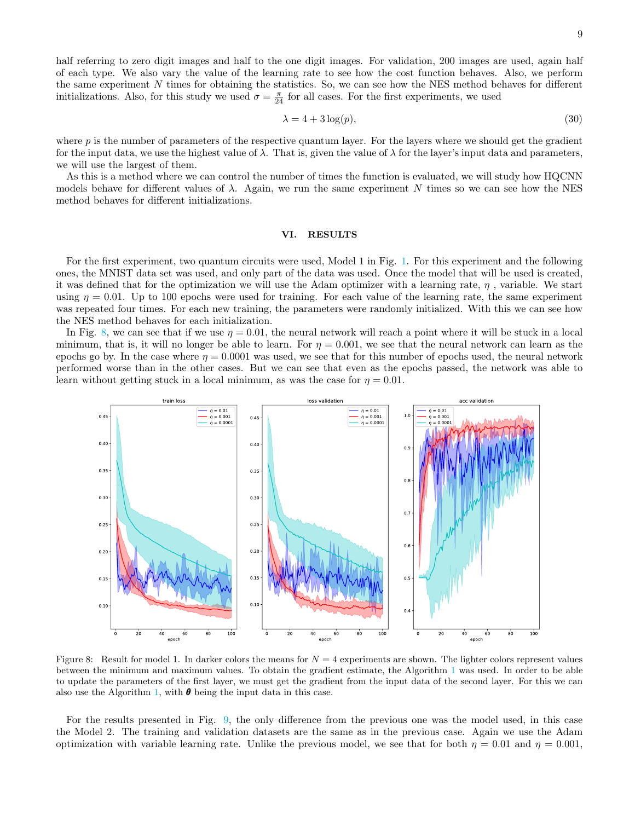half referring to zero digit images and half to the one digit images. For validation, 200 images are used, again half of each type. We also vary the value of the learning rate to see how the cost function behaves. Also, we perform the same experiment N times for obtaining the statistics. So, we can see how the NES method behaves for different initializations. Also, for this study we used  $\sigma = \frac{\pi}{24}$  for all cases. For the first experiments, we used

$$
\lambda = 4 + 3\log(p),\tag{30}
$$

where  $p$  is the number of parameters of the respective quantum layer. For the layers where we should get the gradient for the input data, we use the highest value of  $\lambda$ . That is, given the value of  $\lambda$  for the layer's input data and parameters, we will use the largest of them.

As this is a method where we can control the number of times the function is evaluated, we will study how HQCNN models behave for different values of  $\lambda$ . Again, we run the same experiment N times so we can see how the NES method behaves for different initializations.

## <span id="page-8-0"></span>VI. RESULTS

For the first experiment, two quantum circuits were used, Model 1 in Fig. [1.](#page-4-1) For this experiment and the following ones, the MNIST data set was used, and only part of the data was used. Once the model that will be used is created, it was defined that for the optimization we will use the Adam optimizer with a learning rate,  $\eta$ , variable. We start using  $\eta = 0.01$ . Up to 100 epochs were used for training. For each value of the learning rate, the same experiment was repeated four times. For each new training, the parameters were randomly initialized. With this we can see how the NES method behaves for each initialization.

In Fig. [8,](#page-8-1) we can see that if we use  $\eta = 0.01$ , the neural network will reach a point where it will be stuck in a local minimum, that is, it will no longer be able to learn. For  $\eta = 0.001$ , we see that the neural network can learn as the epochs go by. In the case where  $\eta = 0.0001$  was used, we see that for this number of epochs used, the neural network performed worse than in the other cases. But we can see that even as the epochs passed, the network was able to learn without getting stuck in a local minimum, as was the case for  $\eta = 0.01$ .



<span id="page-8-1"></span>Figure 8: Result for model 1. In darker colors the means for  $N = 4$  experiments are shown. The lighter colors represent values between the minimum and maximum values. To obtain the gradient estimate, the Algorithm [1](#page-3-6) was used. In order to be able to update the parameters of the first layer, we must get the gradient from the input data of the second layer. For this we can also use the Algorithm [1,](#page-3-6) with  $\theta$  being the input data in this case.

For the results presented in Fig. [9,](#page-9-0) the only difference from the previous one was the model used, in this case the Model 2. The training and validation datasets are the same as in the previous case. Again we use the Adam optimization with variable learning rate. Unlike the previous model, we see that for both  $\eta = 0.01$  and  $\eta = 0.001$ ,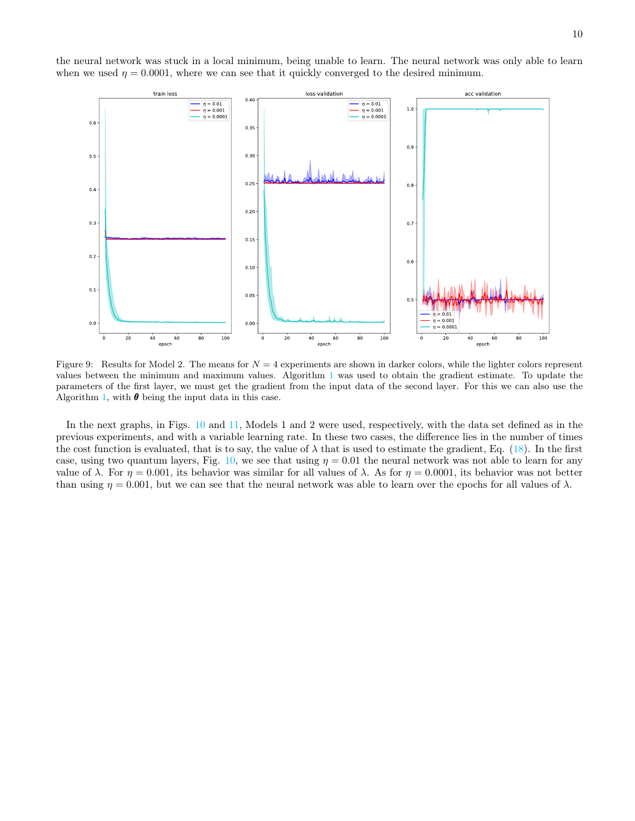the neural network was stuck in a local minimum, being unable to learn. The neural network was only able to learn when we used  $\eta = 0.0001$ , where we can see that it quickly converged to the desired minimum.



<span id="page-9-0"></span>Figure 9: Results for Model 2. The means for  $N = 4$  experiments are shown in darker colors, while the lighter colors represent values between the minimum and maximum values. Algorithm [1](#page-3-6) was used to obtain the gradient estimate. To update the parameters of the first layer, we must get the gradient from the input data of the second layer. For this we can also use the Algorithm [1,](#page-3-6) with  $\theta$  being the input data in this case.

In the next graphs, in Figs. [10](#page-10-1) and [11,](#page-10-2) Models 1 and 2 were used, respectively, with the data set defined as in the previous experiments, and with a variable learning rate. In these two cases, the difference lies in the number of times the cost function is evaluated, that is to say, the value of  $\lambda$  that is used to estimate the gradient, Eq. [\(18\)](#page-3-5). In the first case, using two quantum layers, Fig. [10,](#page-10-1) we see that using  $\eta = 0.01$  the neural network was not able to learn for any value of  $\lambda$ . For  $\eta = 0.001$ , its behavior was similar for all values of  $\lambda$ . As for  $\eta = 0.0001$ , its behavior was not better than using  $\eta = 0.001$ , but we can see that the neural network was able to learn over the epochs for all values of  $\lambda$ .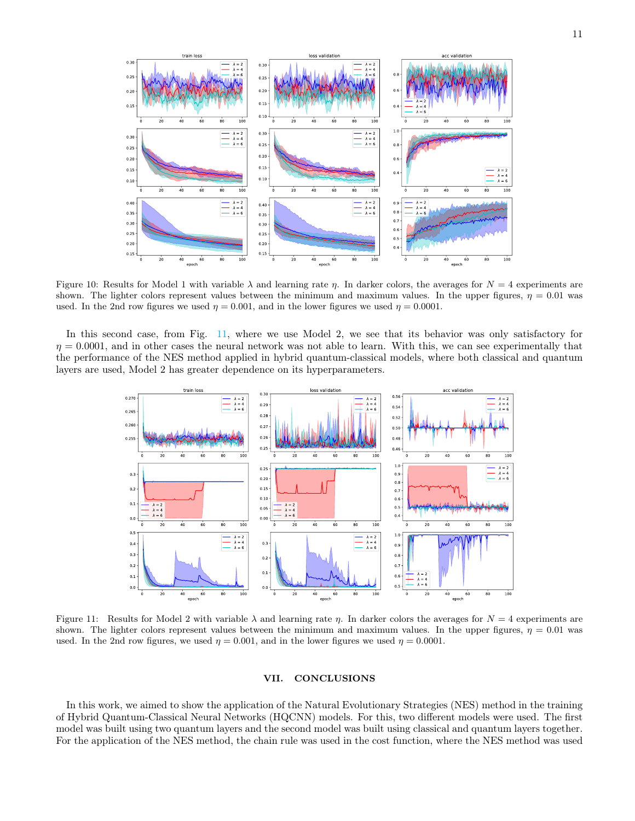

<span id="page-10-1"></span>Figure 10: Results for Model 1 with variable  $\lambda$  and learning rate  $\eta$ . In darker colors, the averages for  $N = 4$  experiments are shown. The lighter colors represent values between the minimum and maximum values. In the upper figures,  $\eta = 0.01$  was used. In the 2nd row figures we used  $\eta = 0.001$ , and in the lower figures we used  $\eta = 0.0001$ .

In this second case, from Fig. [11,](#page-10-2) where we use Model 2, we see that its behavior was only satisfactory for  $\eta = 0.0001$ , and in other cases the neural network was not able to learn. With this, we can see experimentally that the performance of the NES method applied in hybrid quantum-classical models, where both classical and quantum layers are used, Model 2 has greater dependence on its hyperparameters.



<span id="page-10-2"></span>Figure 11: Results for Model 2 with variable  $\lambda$  and learning rate  $\eta$ . In darker colors the averages for  $N = 4$  experiments are shown. The lighter colors represent values between the minimum and maximum values. In the upper figures,  $\eta = 0.01$  was used. In the 2nd row figures, we used  $\eta = 0.001$ , and in the lower figures we used  $\eta = 0.0001$ .

## <span id="page-10-0"></span>VII. CONCLUSIONS

In this work, we aimed to show the application of the Natural Evolutionary Strategies (NES) method in the training of Hybrid Quantum-Classical Neural Networks (HQCNN) models. For this, two different models were used. The first model was built using two quantum layers and the second model was built using classical and quantum layers together. For the application of the NES method, the chain rule was used in the cost function, where the NES method was used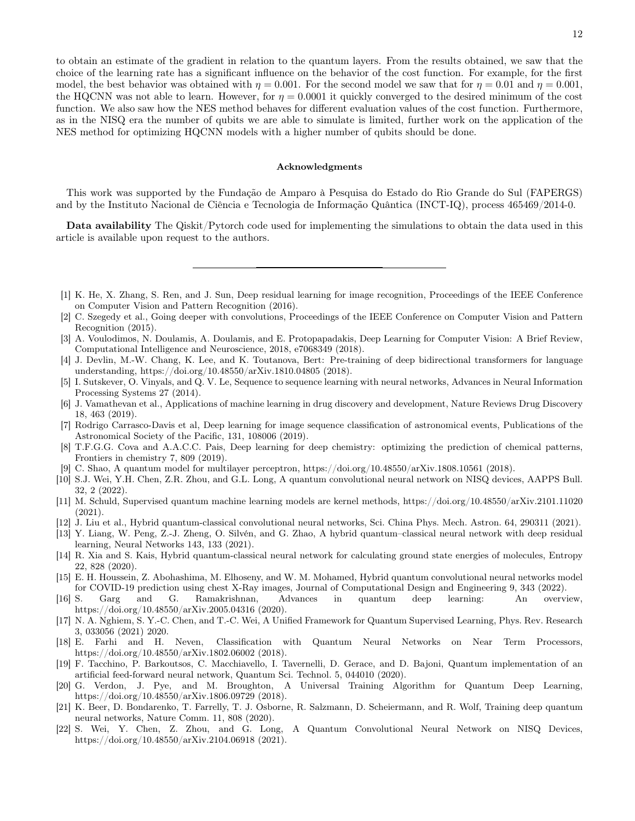to obtain an estimate of the gradient in relation to the quantum layers. From the results obtained, we saw that the choice of the learning rate has a significant influence on the behavior of the cost function. For example, for the first model, the best behavior was obtained with  $\eta = 0.001$ . For the second model we saw that for  $\eta = 0.01$  and  $\eta = 0.001$ . the HQCNN was not able to learn. However, for  $\eta = 0.0001$  it quickly converged to the desired minimum of the cost function. We also saw how the NES method behaves for different evaluation values of the cost function. Furthermore, as in the NISQ era the number of qubits we are able to simulate is limited, further work on the application of the NES method for optimizing HQCNN models with a higher number of qubits should be done.

## Acknowledgments

This work was supported by the Fundação de Amparo à Pesquisa do Estado do Rio Grande do Sul (FAPERGS) and by the Instituto Nacional de Ciência e Tecnologia de Informação Quântica (INCT-IQ), process 465469/2014-0.

Data availability The Qiskit/Pytorch code used for implementing the simulations to obtain the data used in this article is available upon request to the authors.

- <span id="page-11-0"></span>[1] K. He, X. Zhang, S. Ren, and J. Sun, Deep residual learning for image recognition, Proceedings of the IEEE Conference on Computer Vision and Pattern Recognition (2016).
- [2] C. Szegedy et al., Going deeper with convolutions, Proceedings of the IEEE Conference on Computer Vision and Pattern Recognition (2015).
- <span id="page-11-1"></span>[3] A. Voulodimos, N. Doulamis, A. Doulamis, and E. Protopapadakis, Deep Learning for Computer Vision: A Brief Review, Computational Intelligence and Neuroscience, 2018, e7068349 (2018).
- <span id="page-11-2"></span>[4] J. Devlin, M.-W. Chang, K. Lee, and K. Toutanova, Bert: Pre-training of deep bidirectional transformers for language understanding, https://doi.org/10.48550/arXiv.1810.04805 (2018).
- <span id="page-11-3"></span>[5] I. Sutskever, O. Vinyals, and Q. V. Le, Sequence to sequence learning with neural networks, Advances in Neural Information Processing Systems 27 (2014).
- <span id="page-11-4"></span>[6] J. Vamathevan et al., Applications of machine learning in drug discovery and development, Nature Reviews Drug Discovery 18, 463 (2019).
- <span id="page-11-5"></span>[7] Rodrigo Carrasco-Davis et al, Deep learning for image sequence classification of astronomical events, Publications of the Astronomical Society of the Pacific, 131, 108006 (2019).
- <span id="page-11-6"></span>[8] T.F.G.G. Cova and A.A.C.C. Pais, Deep learning for deep chemistry: optimizing the prediction of chemical patterns, Frontiers in chemistry 7, 809 (2019).
- <span id="page-11-8"></span>[9] C. Shao, A quantum model for multilayer perceptron, https://doi.org/10.48550/arXiv.1808.10561 (2018).
- <span id="page-11-9"></span>[10] S.J. Wei, Y.H. Chen, Z.R. Zhou, and G.L. Long, A quantum convolutional neural network on NISQ devices, AAPPS Bull. 32, 2 (2022).
- <span id="page-11-10"></span>[11] M. Schuld, Supervised quantum machine learning models are kernel methods, https://doi.org/10.48550/arXiv.2101.11020 (2021).
- <span id="page-11-11"></span>[12] J. Liu et al., Hybrid quantum-classical convolutional neural networks, Sci. China Phys. Mech. Astron. 64, 290311 (2021).
- [13] Y. Liang, W. Peng, Z.-J. Zheng, O. Silvén, and G. Zhao, A hybrid quantum–classical neural network with deep residual learning, Neural Networks 143, 133 (2021).
- [14] R. Xia and S. Kais, Hybrid quantum-classical neural network for calculating ground state energies of molecules, Entropy 22, 828 (2020).
- <span id="page-11-12"></span>[15] E. H. Houssein, Z. Abohashima, M. Elhoseny, and W. M. Mohamed, Hybrid quantum convolutional neural networks model for COVID-19 prediction using chest X-Ray images, Journal of Computational Design and Engineering 9, 343 (2022).
- <span id="page-11-7"></span>[16] S. Garg and G. Ramakrishnan, Advances in quantum deep learning: An overview, https://doi.org/10.48550/arXiv.2005.04316 (2020).
- [17] N. A. Nghiem, S. Y.-C. Chen, and T.-C. Wei, A Unified Framework for Quantum Supervised Learning, Phys. Rev. Research 3, 033056 (2021) 2020.
- [18] E. Farhi and H. Neven, Classification with Quantum Neural Networks on Near Term Processors, https://doi.org/10.48550/arXiv.1802.06002 (2018).
- [19] F. Tacchino, P. Barkoutsos, C. Macchiavello, I. Tavernelli, D. Gerace, and D. Bajoni, Quantum implementation of an artificial feed-forward neural network, Quantum Sci. Technol. 5, 044010 (2020).
- [20] G. Verdon, J. Pye, and M. Broughton, A Universal Training Algorithm for Quantum Deep Learning, https://doi.org/10.48550/arXiv.1806.09729 (2018).
- [21] K. Beer, D. Bondarenko, T. Farrelly, T. J. Osborne, R. Salzmann, D. Scheiermann, and R. Wolf, Training deep quantum neural networks, Nature Comm. 11, 808 (2020).
- [22] S. Wei, Y. Chen, Z. Zhou, and G. Long, A Quantum Convolutional Neural Network on NISQ Devices, https://doi.org/10.48550/arXiv.2104.06918 (2021).